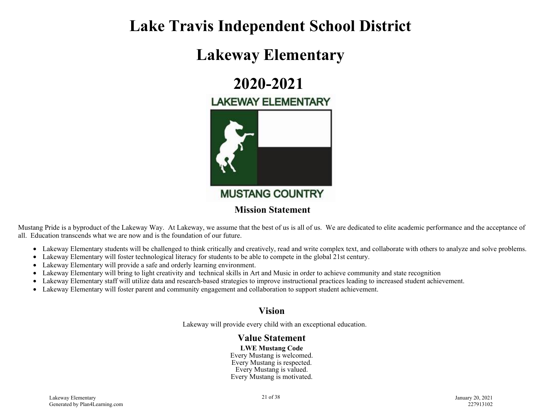## **Lake Travis Independent School District**

## **Lakeway Elementary**

# **2020-2021**

## **LAKEWAY ELEMENTARY**



Mustang Pride is a byproduct of the Lakeway Way. At Lakeway, we assume that the best of us is all of us. We are dedicated to elite academic performance and the acceptance of all. Education transcends what we are now and is the foundation of our future.

- Lakeway Elementary students will be challenged to think critically and creatively, read and write complex text, and collaborate with others to analyze and solve problems.
- Lakeway Elementary will foster technological literacy for students to be able to compete in the global 21st century.
- Lakeway Elementary will provide a safe and orderly learning environment.
- Lakeway Elementary will bring to light creativity and technical skills in Art and Music in order to achieve community and state recognition
- Lakeway Elementary staff will utilize data and research-based strategies to improve instructional practices leading to increased student achievement.
- Lakeway Elementary will foster parent and community engagement and collaboration to support student achievement.

### **Vision**

Lakeway will provide every child with an exceptional education.

#### **Value Statement**

**LWE Mustang Code** Every Mustang is welcomed. Every Mustang is respected. Every Mustang is valued. Every Mustang is motivated.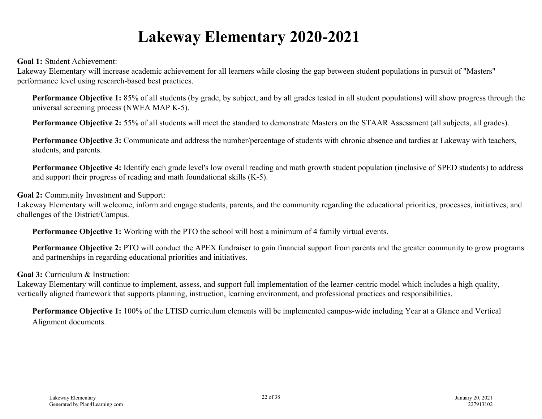# **Lakeway Elementary 2020-2021**

**Goal 1:** Student Achievement:

Lakeway Elementary will increase academic achievement for all learners while closing the gap between student populations in pursuit of "Masters" performance level using research-based best practices.

**Performance Objective 1:** 85% of all students (by grade, by subject, and by all grades tested in all student populations) will show progress through the universal screening process (NWEA MAP K-5).

**Performance Objective 2:** 55% of all students will meet the standard to demonstrate Masters on the STAAR Assessment (all subjects, all grades).

**Performance Objective 3:** Communicate and address the number/percentage of students with chronic absence and tardies at Lakeway with teachers, students, and parents.

**Performance Objective 4:** Identify each grade level's low overall reading and math growth student population (inclusive of SPED students) to address and support their progress of reading and math foundational skills (K-5).

#### **Goal 2:** Community Investment and Support:

Lakeway Elementary will welcome, inform and engage students, parents, and the community regarding the educational priorities, processes, initiatives, and challenges of the District/Campus.

**Performance Objective 1:** Working with the PTO the school will host a minimum of 4 family virtual events.

**Performance Objective 2:** PTO will conduct the APEX fundraiser to gain financial support from parents and the greater community to grow programs and partnerships in regarding educational priorities and initiatives.

#### **Goal 3:** Curriculum & Instruction:

Lakeway Elementary will continue to implement, assess, and support full implementation of the learner-centric model which includes a high quality, vertically aligned framework that supports planning, instruction, learning environment, and professional practices and responsibilities.

**Performance Objective 1:** 100% of the LTISD curriculum elements will be implemented campus-wide including Year at a Glance and Vertical Alignment documents.